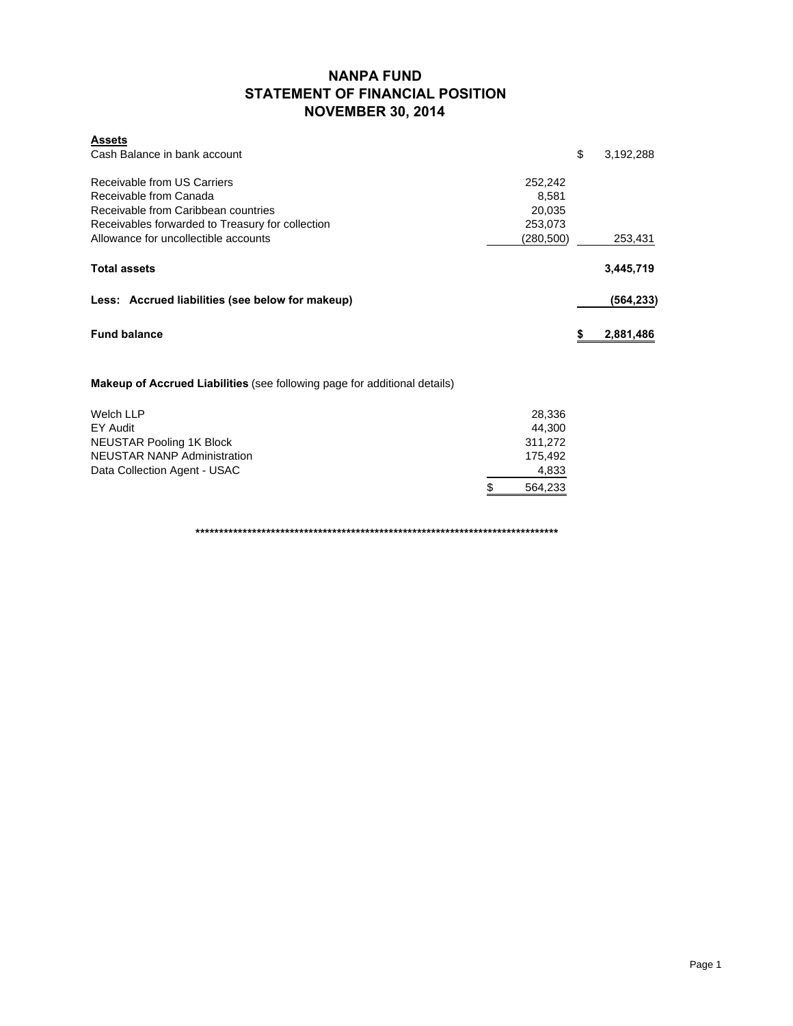## **NANPA FUND STATEMENT OF FINANCIAL POSITION NOVEMBER 30, 2014**

| <b>Assets</b>                                    |            |                 |
|--------------------------------------------------|------------|-----------------|
| Cash Balance in bank account                     |            | \$<br>3,192,288 |
| Receivable from US Carriers                      | 252,242    |                 |
| Receivable from Canada                           | 8.581      |                 |
| Receivable from Caribbean countries              | 20.035     |                 |
| Receivables forwarded to Treasury for collection | 253,073    |                 |
| Allowance for uncollectible accounts             | (280, 500) | 253,431         |
| <b>Total assets</b>                              |            | 3,445,719       |
| Less: Accrued liabilities (see below for makeup) |            | (564,233)       |
| <b>Fund balance</b>                              |            | 2,881,486       |

**Makeup of Accrued Liabilities** (see following page for additional details)

| Welch LLP                          | 28.336       |
|------------------------------------|--------------|
| EY Audit                           | 44.300       |
| NEUSTAR Pooling 1K Block           | 311.272      |
| <b>NEUSTAR NANP Administration</b> | 175.492      |
| Data Collection Agent - USAC       | 4,833        |
|                                    | S<br>564.233 |

**\*\*\*\*\*\*\*\*\*\*\*\*\*\*\*\*\*\*\*\*\*\*\*\*\*\*\*\*\*\*\*\*\*\*\*\*\*\*\*\*\*\*\*\*\*\*\*\*\*\*\*\*\*\*\*\*\*\*\*\*\*\*\*\*\*\*\*\*\*\*\*\*\*\*\*\*\***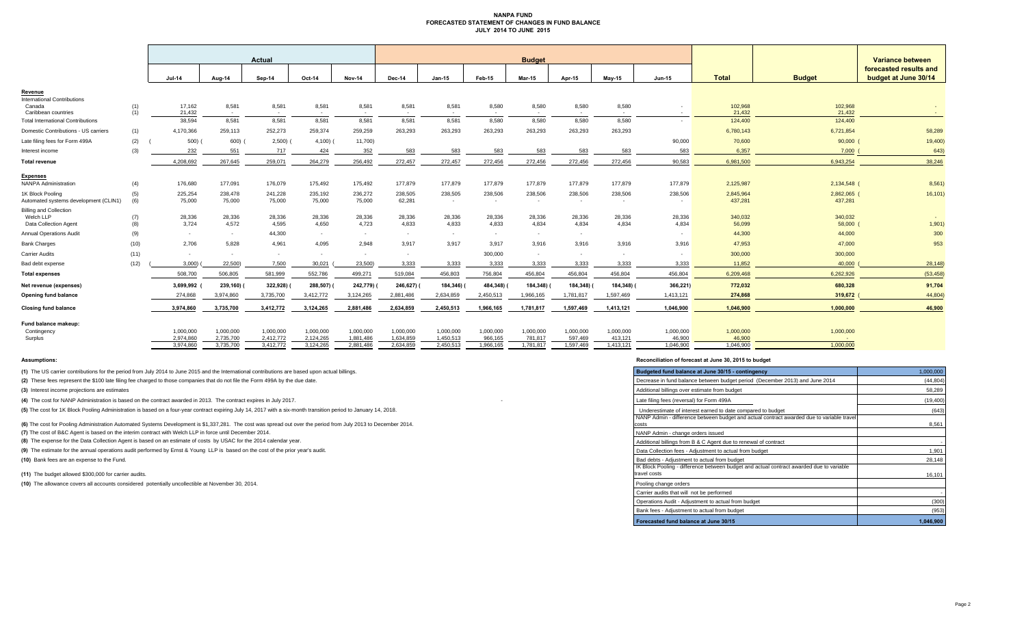#### **NANPA FUND FORECASTED STATEMENT OF CHANGES IN FUND BALANCE JULY 2014 TO JUNE 2015**

|                                                                     |            | <b>Actual</b>                       |                                     |                                     |                                     |                                     | <b>Budget</b>                       |                                     |                                   |                                   |                                   |                                   |                                  |                                  |                        | <b>Variance between</b>                        |  |
|---------------------------------------------------------------------|------------|-------------------------------------|-------------------------------------|-------------------------------------|-------------------------------------|-------------------------------------|-------------------------------------|-------------------------------------|-----------------------------------|-----------------------------------|-----------------------------------|-----------------------------------|----------------------------------|----------------------------------|------------------------|------------------------------------------------|--|
|                                                                     |            | $Jul-14$                            | Aug-14                              | Sep-14                              | Oct-14                              | <b>Nov-14</b>                       | Dec-14                              | $Jan-15$                            | Feb-15                            | <b>Mar-15</b>                     | Apr-15                            | Mav-15                            | <b>Jun-15</b>                    | <b>Total</b>                     | <b>Budget</b>          | forecasted results and<br>budget at June 30/14 |  |
| Revenue                                                             |            |                                     |                                     |                                     |                                     |                                     |                                     |                                     |                                   |                                   |                                   |                                   |                                  |                                  |                        |                                                |  |
| <b>International Contributions</b><br>Canada<br>Caribbean countries | (1)<br>(1) | 17,162<br>21.432                    | 8,581<br>$\sim$                     | 8,581<br>$\sim$                     | 8,581<br>$\sim$                     | 8,581<br>$\sim$                     | 8,581<br>$\sim$                     | 8,581<br>$\sim$                     | 8,580<br>$\sim$                   | 8,580<br>$\sim$                   | 8,580<br>$\sim$                   | 8,580<br>$\sim$                   | $\sim$                           | 102,968<br>21.432                | 102,968<br>21.432      | $\sim$ $-$                                     |  |
| <b>Total International Contributions</b>                            |            | 38,594                              | 8,581                               | 8,581                               | 8,581                               | 8,581                               | 8,581                               | 8,581                               | 8,580                             | 8,580                             | 8,580                             | 8,580                             | $\sim$                           | 124,400                          | 124,400                |                                                |  |
| Domestic Contributions - US carriers                                | (1)        | 4,170,366                           | 259,113                             | 252,273                             | 259,374                             | 259,259                             | 263,293                             | 263,293                             | 263,293                           | 263,293                           | 263,293                           | 263,293                           |                                  | 6,780,143                        | 6,721,854              | 58,289                                         |  |
| Late filing fees for Form 499A                                      | (2)        | 500)                                | 600)                                | 2,500)                              | $4,100)$ (                          | 11,700)                             |                                     |                                     |                                   |                                   |                                   |                                   | 90,000                           | 70,600                           | 90,000                 | 19,400                                         |  |
| Interest income                                                     | (3)        | 232                                 | 551                                 | 717                                 | 424                                 | 352                                 | 583                                 | 583                                 | 583                               | 583                               | 583                               | 583                               | 583                              | 6,357                            | 7.000                  | 643)                                           |  |
| <b>Total revenue</b>                                                |            | 4,208,692                           | 267,645                             | 259,071                             | 264,279                             | 256,492                             | 272,457                             | 272,457                             | 272,456                           | 272,456                           | 272,456                           | 272,456                           | 90,583                           | 6,981,500                        | 6,943,254              | 38,246                                         |  |
| <b>Expenses</b><br><b>NANPA Administration</b>                      | (4)        | 176,680                             | 177,091                             | 176,079                             | 175,492                             | 175,492                             | 177,879                             | 177,879                             | 177,879                           | 177,879                           | 177,879                           | 177,879                           | 177,879                          | 2,125,987                        | 2,134,548 (            | 8,561                                          |  |
| 1K Block Pooling<br>Automated systems development (CLIN1)           | (5)<br>(6) | 225,254<br>75,000                   | 238,478<br>75,000                   | 241,228<br>75,000                   | 235,192<br>75,000                   | 236,272<br>75,000                   | 238,505<br>62.281                   | 238,505<br>$\sim$                   | 238,506<br>$\sim$                 | 238,506<br>$\sim$                 | 238,506<br>$\sim$                 | 238,506<br>$\sim$                 | 238,506<br>$\sim$                | 2,845,964<br>437,281             | 2,862,065 (<br>437,281 | 16,101)                                        |  |
| <b>Billing and Collection</b><br>Welch LLP<br>Data Collection Agent | (7)<br>(8) | 28,336<br>3,724                     | 28,336<br>4,572                     | 28,336<br>4,595                     | 28,336<br>4,650                     | 28,336<br>4,723                     | 28,336<br>4,833                     | 28,336<br>4,833                     | 28,336<br>4,833                   | 28,336<br>4,834                   | 28,336<br>4,834                   | 28,336<br>4,834                   | 28,336<br>4,834                  | 340,032<br>56,099                | 340,032<br>58,000 (    | 1,901)                                         |  |
| <b>Annual Operations Audit</b>                                      | (9)        | $\sim$                              | $\sim$                              | 44,300                              | $\sim 10^{-11}$                     | $\sim$                              | $\sim$                              | $\sim$                              | $\sim$                            | $\sim$                            | $\sim$                            |                                   | $\sim$                           | 44,300                           | 44,000                 | 300                                            |  |
| <b>Bank Charges</b>                                                 | (10)       | 2,706                               | 5,828                               | 4,961                               | 4,095                               | 2,948                               | 3,917                               | 3,917                               | 3,917                             | 3,916                             | 3,916                             | 3,916                             | 3,916                            | 47,953                           | 47,000                 | 953                                            |  |
| Carrier Audits                                                      | (11)       | $\sim$                              | $\overline{\phantom{a}}$            | $\sim$                              | $\overline{\phantom{a}}$            | ٠                                   | $\sim$                              |                                     | 300,000                           |                                   | $\sim$                            |                                   | $\sim$                           | 300,000                          | 300,000                |                                                |  |
| Bad debt expense                                                    | (12)       | 3,000                               | 22,500)                             | 7,500                               | 30,021                              | 23,500)                             | 3,333                               | 3,333                               | 3,333                             | 3,333                             | 3,333                             | 3,333                             | 3,333                            | 11,852                           | 40,000                 | 28,148                                         |  |
| <b>Total expenses</b>                                               |            | 508,700                             | 506,805                             | 581,999                             | 552,786                             | 499,271                             | 519,084                             | 456,803                             | 756,804                           | 456,804                           | 456,804                           | 456,804                           | 456,804                          | 6,209,468                        | 6,262,926              | (53, 458)                                      |  |
| Net revenue (expenses)                                              |            | 3,699,992                           | 239,160)                            | 322,928)                            | 288,507)                            | 242,779)                            | 246,627)                            | 184,346)                            | 484,348)                          | 184,348)                          | 184,348)                          | 184,348)                          | 366,221)                         | 772,032                          | 680,328                | 91,704                                         |  |
| Opening fund balance                                                |            | 274,868                             | 3,974,860                           | 3,735,700                           | 3,412,772                           | 3,124,265                           | 2,881,486                           | 2,634,859                           | 2,450,513                         | 1,966,165                         | 1,781,817                         | 1,597,469                         | 1,413,121                        | 274,868                          | 319,672                | 44,804                                         |  |
| <b>Closing fund balance</b>                                         |            | 3,974,860                           | 3,735,700                           | 3,412,772                           | 3,124,265                           | 2,881,486                           | 2,634,859                           | 2,450,513                           | 1,966,165                         | 1,781,817                         | 1,597,469                         | 1,413,121                         | 1,046,900                        | 1,046,900                        | 1,000,000              | 46,900                                         |  |
| Fund balance makeup:                                                |            |                                     |                                     |                                     |                                     |                                     |                                     |                                     |                                   |                                   |                                   |                                   |                                  |                                  |                        |                                                |  |
| Contingency<br>Surplus                                              |            | 1,000,000<br>2.974.860<br>3.974.860 | 1,000,000<br>2,735,700<br>3.735.700 | 1,000,000<br>2,412,772<br>3,412,772 | 1,000,000<br>2,124,265<br>3.124.265 | 1,000,000<br>1,881,486<br>2.881.486 | 1,000,000<br>1,634,859<br>2.634.859 | 1,000,000<br>1,450,513<br>2.450.513 | 1,000,000<br>966,165<br>1.966.165 | 1,000,000<br>781,817<br>1.781.817 | 1,000,000<br>597.469<br>1.597.469 | 1,000,000<br>413,121<br>1.413.121 | 1,000,000<br>46.900<br>1.046.900 | 1,000,000<br>46,900<br>1.046.900 | 1,000,000<br>1.000.000 |                                                |  |
|                                                                     |            |                                     |                                     |                                     |                                     |                                     |                                     |                                     |                                   |                                   |                                   |                                   |                                  |                                  |                        |                                                |  |

**(1)** The US carrier contributions for the period from July 2014 to June 2015 and the International contributions are based upon actual billings.

(2) These fees represent the \$100 late filing fee charged to those companies that do not file the Form 499A by the due date.

**(3)** Interest income projections are estimates

**(4)** The cost for NANP Administration is based on the contract awarded in 2013. The contract expires in July 2017.

(5) The cost for 1K Block Pooling Administration is based on a four-year contract expiring July 14, 2017 with a six-month transition period to January 14, 2018.

**(6)** The cost for Pooling Administration Automated Systems Development is \$1,337,281. The cost was spread out over the period from July 2013 to December 2014.

**(7)** The cost of B&C Agent is based on the interim contract with Welch LLP in force until December 2014.

(8) The expense for the Data Collection Agent is based on an estimate of costs by USAC for the 2014 calendar year.

(9) The estimate for the annual operations audit performed by Ernst & Young LLP is based on the cost of the prior year's audit.

**(10)** Bank fees are an expense to the Fund.

**(11)** The budget allowed \$300,000 for carrier audits.

(10) The allowance covers all accounts considered potentially uncollectible at November 30, 2014.

#### **Assumptions: Reconciliation of forecast at June 30, 2015 to budget**

| Budgeted fund balance at June 30/15 - contingency                                                        | 1,000,000 |
|----------------------------------------------------------------------------------------------------------|-----------|
| Decrease in fund balance between budget period (December 2013) and June 2014                             | (44, 804) |
| Additional billings over estimate from budget                                                            | 58,289    |
| Late filing fees (reversal) for Form 499A                                                                | (19, 400) |
| Underestimate of interest earned to date compared to budget                                              | (643)     |
| NANP Admin - difference between budget and actual contract awarded due to variable travel<br>costs       | 8,561     |
| NANP Admin - change orders issued                                                                        |           |
| Additional billings from B & C Agent due to renewal of contract                                          |           |
| Data Collection fees - Adjustment to actual from budget                                                  | 1,901     |
| Bad debts - Adjustment to actual from budget                                                             | 28,148    |
| IK Block Pooling - difference between budget and actual contract awarded due to variable<br>travel costs | 16,101    |
| Pooling change orders                                                                                    |           |
| Carrier audits that will not be performed                                                                |           |
| Operations Audit - Adjustment to actual from budget                                                      | (300)     |
| Bank fees - Adjustment to actual from budget                                                             | (953)     |
| Forecasted fund balance at June 30/15                                                                    | 1.046.900 |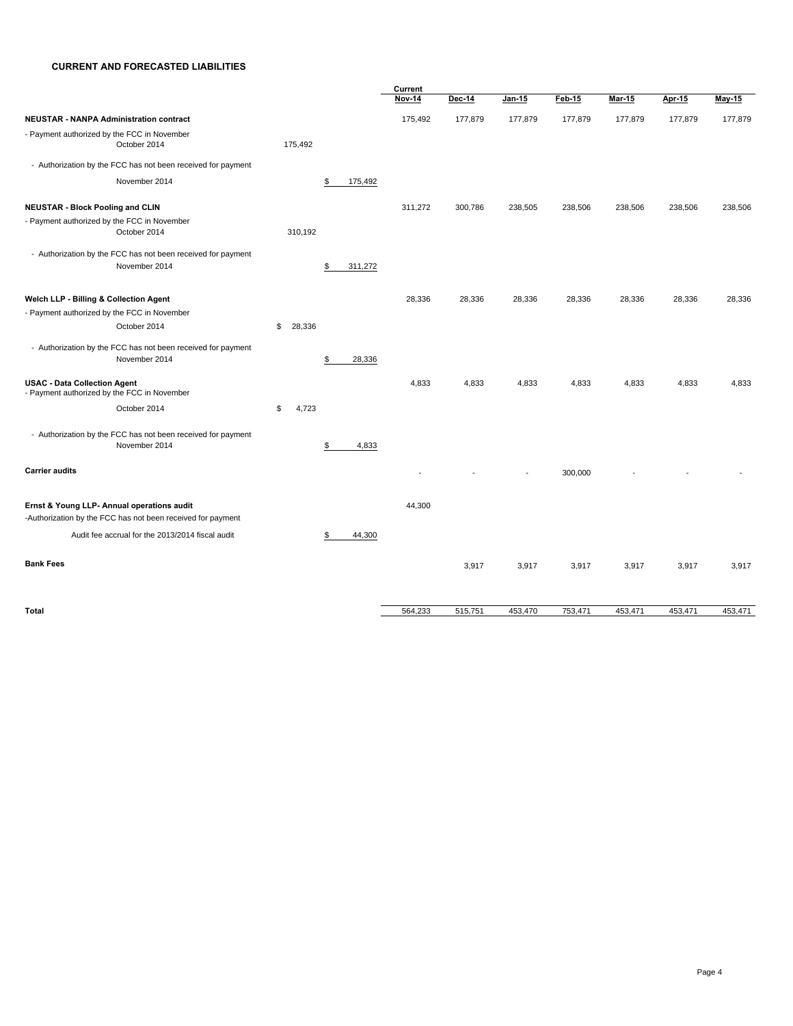#### **CURRENT AND FORECASTED LIABILITIES**

|                                                              |              |    |         | Current       |         |         |         |               |         |         |
|--------------------------------------------------------------|--------------|----|---------|---------------|---------|---------|---------|---------------|---------|---------|
|                                                              |              |    |         | <b>Nov-14</b> | Dec-14  | Jan-15  | Feb-15  | <b>Mar-15</b> | Apr-15  | May-15  |
| NEUSTAR - NANPA Administration contract                      |              |    |         | 175,492       | 177,879 | 177,879 | 177,879 | 177,879       | 177,879 | 177,879 |
| - Payment authorized by the FCC in November<br>October 2014  | 175,492      |    |         |               |         |         |         |               |         |         |
| - Authorization by the FCC has not been received for payment |              |    |         |               |         |         |         |               |         |         |
| November 2014                                                |              | \$ | 175,492 |               |         |         |         |               |         |         |
| <b>NEUSTAR - Block Pooling and CLIN</b>                      |              |    |         | 311,272       | 300,786 | 238,505 | 238,506 | 238,506       | 238,506 | 238,506 |
| - Payment authorized by the FCC in November                  |              |    |         |               |         |         |         |               |         |         |
| October 2014                                                 | 310,192      |    |         |               |         |         |         |               |         |         |
| - Authorization by the FCC has not been received for payment |              |    |         |               |         |         |         |               |         |         |
| November 2014                                                |              | \$ | 311,272 |               |         |         |         |               |         |         |
| Welch LLP - Billing & Collection Agent                       |              |    |         | 28,336        | 28,336  | 28,336  | 28,336  | 28,336        | 28,336  | 28,336  |
| - Payment authorized by the FCC in November                  |              |    |         |               |         |         |         |               |         |         |
| October 2014                                                 | \$<br>28,336 |    |         |               |         |         |         |               |         |         |
| - Authorization by the FCC has not been received for payment |              |    |         |               |         |         |         |               |         |         |
| November 2014                                                |              | \$ | 28,336  |               |         |         |         |               |         |         |
| <b>USAC - Data Collection Agent</b>                          |              |    |         | 4,833         | 4,833   | 4,833   | 4,833   | 4,833         | 4,833   | 4,833   |
| - Payment authorized by the FCC in November                  |              |    |         |               |         |         |         |               |         |         |
| October 2014                                                 | \$<br>4,723  |    |         |               |         |         |         |               |         |         |
| - Authorization by the FCC has not been received for payment |              |    |         |               |         |         |         |               |         |         |
| November 2014                                                |              | S  | 4,833   |               |         |         |         |               |         |         |
| <b>Carrier audits</b>                                        |              |    |         |               |         |         | 300,000 |               |         |         |
| Ernst & Young LLP- Annual operations audit                   |              |    |         | 44,300        |         |         |         |               |         |         |
| -Authorization by the FCC has not been received for payment  |              |    |         |               |         |         |         |               |         |         |
| Audit fee accrual for the 2013/2014 fiscal audit             |              | \$ | 44,300  |               |         |         |         |               |         |         |
| <b>Bank Fees</b>                                             |              |    |         |               | 3,917   | 3,917   | 3,917   | 3,917         | 3,917   | 3,917   |
| Total                                                        |              |    |         | 564,233       | 515,751 | 453,470 | 753,471 | 453,471       | 453,471 | 453,471 |